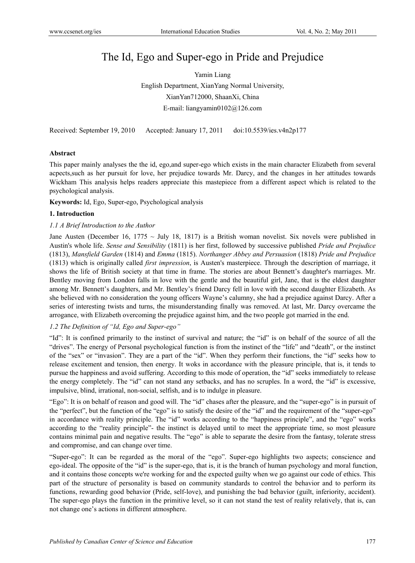# The Id, Ego and Super-ego in Pride and Prejudice

Yamin Liang English Department, XianYang Normal University, XianYan712000, ShaanXi, China E-mail: liangyamin0102@126.com

Received: September 19, 2010 Accepted: January 17, 2011 doi:10.5539/ies.v4n2p177

## **Abstract**

This paper mainly analyses the the id, ego,and super-ego which exists in the main character Elizabeth from several acpects,such as her pursuit for love, her prejudice towards Mr. Darcy, and the changes in her attitudes towards Wickham This analysis helps readers appreciate this mastepiece from a different aspect which is related to the psychological analysis.

**Keywords:** Id, Ego, Super-ego, Psychological analysis

#### **1. Introduction**

## *1.1 A Brief Introduction to the Author*

Jane Austen (December 16, 1775  $\sim$  July 18, 1817) is a British woman novelist. Six novels were published in Austin's whole life. *Sense and Sensibility* (1811) is her first, followed by successive published *Pride and Prejudice*  (1813), *Mansfield Garden* (1814) and *Emma* (1815). *Northanger Abbey and Persuasion* (1818) *Pride and Prejudice* (1813) which is originally called *first impression*, is Austen's masterpiece. Through the description of marriage, it shows the life of British society at that time in frame. The stories are about Bennett's daughter's marriages. Mr. Bentley moving from London falls in love with the gentle and the beautiful girl, Jane, that is the eldest daughter among Mr. Bennett's daughters, and Mr. Bentley's friend Darcy fell in love with the second daughter Elizabeth. As she believed with no consideration the young officers Wayne's calumny, she had a prejudice against Darcy. After a series of interesting twists and turns, the misunderstanding finally was removed. At last, Mr. Darcy overcame the arrogance, with Elizabeth overcoming the prejudice against him, and the two people got married in the end.

## *1.2 The Definition of "Id, Ego and Super-ego"*

"Id": It is confined primarily to the instinct of survival and nature; the "id" is on behalf of the source of all the "drives". The energy of Personal psychological function is from the instinct of the "life" and "death", or the instinct of the "sex" or "invasion". They are a part of the "id". When they perform their functions, the "id" seeks how to release excitement and tension, then energy. It woks in accordance with the pleasure principle, that is, it tends to pursue the happiness and avoid suffering. According to this mode of operation, the "id" seeks immediately to release the energy completely. The "id" can not stand any setbacks, and has no scruples. In a word, the "id" is excessive, impulsive, blind, irrational, non-social, selfish, and is to indulge in pleasure.

"Ego": It is on behalf of reason and good will. The "id" chases after the pleasure, and the "super-ego" is in pursuit of the "perfect", but the function of the "ego" is to satisfy the desire of the "id" and the requirement of the "super-ego" in accordance with reality principle. The "id" works according to the "happiness principle", and the "ego" works according to the "reality principle"- the instinct is delayed until to meet the appropriate time, so most pleasure contains minimal pain and negative results. The "ego" is able to separate the desire from the fantasy, tolerate stress and compromise, and can change over time.

"Super-ego": It can be regarded as the moral of the "ego". Super-ego highlights two aspects; conscience and ego-ideal. The opposite of the "id" is the super-ego, that is, it is the branch of human psychology and moral function, and it contains those concepts we're working for and the expected guilty when we go against our code of ethics. This part of the structure of personality is based on community standards to control the behavior and to perform its functions, rewarding good behavior (Pride, self-love), and punishing the bad behavior (guilt, inferiority, accident). The super-ego plays the function in the primitive level, so it can not stand the test of reality relatively, that is, can not change one's actions in different atmosphere.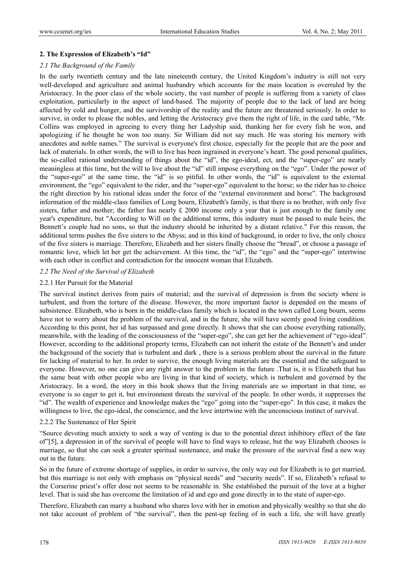## **2. The Expression of Elizabeth's "Id"**

## *2.1 The Background of the Family*

In the early twentieth century and the late nineteenth century, the United Kingdom's industry is still not very well-developed and agriculture and animal husbandry which accounts for the main location is overruled by the Aristocracy. In the poor class of the whole society, the vast number of people is suffering from a variety of class exploitation, particularly in the aspect of land-based. The majority of people due to the lack of land are being affected by cold and hunger, and the survivorship of the reality and the future are threatened seriously. In order to survive, in order to please the nobles, and letting the Aristocracy give them the right of life, in the card table, "Mr. Collins was employed in agreeing to every thing her Ladyship said, thanking her for every fish he won, and apologizing if he thought he won too many. Sir William did not say much. He was storing his memory with anecdotes and noble names." The survival is everyone's first choice, especially for the people that are the poor and lack of materials. In other words, the will to live has been ingrained in everyone's heart. The good personal qualities, the so-called rational understanding of things about the "id", the ego-ideal, ect, and the "super-ego" are nearly meaningless at this time, but the will to live about the "id" still impose everything on the "ego". Under the power of the "super-ego" at the same time, the "id" is so pitiful. In other words, the "id" is equivalent to the external environment, the "ego" equivalent to the rider, and the "super-ego" equivalent to the horse; so the rider has to choice the right direction by his rational ideas under the force of the "external environment and horse". The background information of the middle-class families of Long bourn, Elizabeth's family, is that there is no brother, with only five sisters, father and mother; the father has nearly  $\pounds$  2000 income only a year that is just enough to the family one year's expenditure, but "According to Will on the additional terms, this industry must be passed to male heirs, the Bennett's couple had no sons, so that the industry should be inherited by a distant relative." For this reason, the additional terms pushes the five sisters to the Abyss; and in this kind of background, in order to live, the only choice of the five sisters is marriage. Therefore, Elizabeth and her sisters finally choose the "bread", or choose a passage of romantic love, which let her get the achievement. At this time, the "id", the "ego" and the "super-ego" intertwine with each other in conflict and contradiction for the innocent woman that Elizabeth.

#### *2.2 The Need of the Survival of Elizabeth*

### 2.2.1 Her Pursuit for the Material

The survival instinct derives from pairs of material; and the survival of depression is from the society where is turbulent, and from the torture of the disease. However, the more important factor is depended on the means of subsistence. Elizabeth, who is born in the middle-class family which is located in the town called Long bourn, seems have not to worry about the problem of the survival, and in the future, she will have seemly good living condition. According to this point, her id has surpassed and gone directly. It shows that she can choose everything rationally, meanwhile, with the leading of the consciousness of the "super-ego", she can get her the achievement of "ego-ideal". However, according to the additional property terms, Elizabeth can not inherit the estate of the Bennett's and under the background of the society that is turbulent and dark , there is a serious problem about the survival in the future for lacking of material to her. In order to survive, the enough living materials are the essential and the safeguard to everyone. However, no one can give any right answer to the problem in the future .That is, it is Elizabeth that has the same boat with other people who are living in that kind of society, which is turbulent and governed by the Aristocracy. In a word, the story in this book shows that the living materials are so important in that time, so everyone is so eager to get it, but environment threats the survival of the people. In other words, it suppresses the "id". The wealth of experience and knowledge makes the "ego" going into the "super-ego". In this case, it makes the willingness to live, the ego-ideal, the conscience, and the love intertwine with the unconscious instinct of survival.

#### 2.2.2 The Sustenance of Her Spirit

"Source devoting much anxiety to seek a way of venting is due to the potential direct inhibitory effect of the fate of"[5], a depression in of the survival of people will have to find ways to release, but the way Elizabeth chooses is marriage, so that she can seek a greater spiritual sustenance, and make the pressure of the survival find a new way out in the future.

So in the future of extreme shortage of supplies, in order to survive, the only way out for Elizabeth is to get married, but this marriage is not only with emphasis on "physical needs" and "security needs". If so, Elizabeth's refusal to the Corserine priest's offer dose not seems to be reasonable in. She established the pursuit of the love at a higher level. That is said she has overcome the limitation of id and ego and gone directly in to the state of super-ego.

Therefore, Elizabeth can marry a husband who shares love with her in emotion and physically wealthy so that she do not take account of problem of "the survival", then the pent-up feeling of in such a life, she will have greatly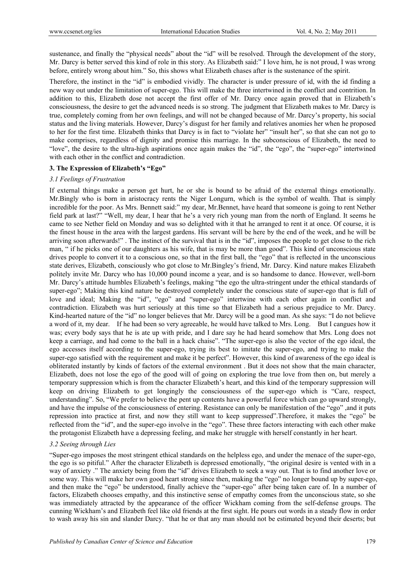sustenance, and finally the "physical needs" about the "id" will be resolved. Through the development of the story, Mr. Darcy is better served this kind of role in this story. As Elizabeth said:" I love him, he is not proud, I was wrong before, entirely wrong about him." So, this shows what Elizabeth chases after is the sustenance of the spirit.

Therefore, the instinct in the "id" is embodied vividly. The character is under pressure of id, with the id finding a new way out under the limitation of super-ego. This will make the three intertwined in the conflict and contrition. In addition to this, Elizabeth dose not accept the first offer of Mr. Darcy once again proved that in Elizabeth's consciousness, the desire to get the advanced needs is so strong. The judgment that Elizabeth makes to Mr. Darcy is true, completely coming from her own feelings, and will not be changed because of Mr. Darcy's property, his social status and the living materials. However, Darcy's disgust for her family and relatives anomies her when he proposed to her for the first time. Elizabeth thinks that Darcy is in fact to "violate her" "insult her", so that she can not go to make comprises, regardless of dignity and promise this marriage. In the subconscious of Elizabeth, the need to "love", the desire to the ultra-high aspirations once again makes the "id", the "ego", the "super-ego" intertwined with each other in the conflict and contradiction.

## **3. The Expression of Elizabeth's "Ego"**

## *3.1 Feelings of Frustration*

If external things make a person get hurt, he or she is bound to be afraid of the external things emotionally. Mr.Bingly who is born in aristocracy rents the Niger Longurn, which is the symbol of wealth. That is simply incredible for the poor. As Mrs. Bennett said:" my dear, Mr.Bennet, have heard that someone is going to rent Nether field park at last?" "Well, my dear, I hear that he's a very rich young man from the north of England. It seems he came to see Nether field on Monday and was so delighted with it that he arranged to rent it at once. Of course, it is the finest house in the area with the largest gardens. His servant will be here by the end of the week, and he will be arriving soon afterwards!" . The instinct of the survival that is in the "id", imposes the people to get close to the rich man, " if he picks one of our daughters as his wife, that is may be more than good". This kind of unconscious state drives people to convert it to a conscious one, so that in the first ball, the "ego" that is reflected in the unconscious state derives, Elizabeth, consciously who got close to Mr.Bingley's friend, Mr. Darcy. Kind nature makes Elizabeth politely invite Mr. Darcy who has 10,000 pound income a year, and is so handsome to dance. However, well-born Mr. Darcy's attitude humbles Elizabeth's feelings, making "the ego the ultra-stringent under the ethical standards of super-ego"; Making this kind nature be destroyed completely under the conscious state of super-ego that is full of love and ideal; Making the "id", "ego" and "super-ego" intertwine with each other again in conflict and contradiction. Elizabeth was hurt seriously at this time so that Elizabeth had a serious prejudice to Mr. Darcy. Kind-hearted nature of the "id" no longer believes that Mr. Darcy will be a good man. As she says: "I do not believe a word of it, my dear. If he had been so very agreeable, he would have talked to Mrs. Long. But I cangues how it was; every body says that he is ate up with pride, and I dare say he had heard somehow that Mrs. Long does not keep a carriage, and had come to the ball in a hack chaise". "The super-ego is also the vector of the ego ideal, the ego accesses itself according to the super-ego, trying its best to imitate the super-ego, and trying to make the super-ego satisfied with the requirement and make it be perfect". However, this kind of awareness of the ego ideal is obliterated instantly by kinds of factors of the external environment . But it does not show that the main character, Elizabeth, does not lose the ego of the good will of going on exploring the true love from then on, but merely a temporary suppression which is from the character Elizabeth's heart, and this kind of the temporary suppression will keep on driving Elizabeth to get longingly the consciousness of the super-ego which is "Care, respect, understanding". So, "We prefer to believe the pent up contents have a powerful force which can go upward strongly, and have the impulse of the consciousness of entering. Resistance can only be manifestation of the "ego" ,and it puts repression into practice at first, and now they still want to keep suppressed".Therefore, it makes the "ego" be reflected from the "id", and the super-ego involve in the "ego". These three factors interacting with each other make the protagonist Elizabeth have a depressing feeling, and make her struggle with herself constantly in her heart.

#### *3.2 Seeing through Lies*

"Super-ego imposes the most stringent ethical standards on the helpless ego, and under the menace of the super-ego, the ego is so pitiful." After the character Elizabeth is depressed emotionally, "the original desire is vented with in a way of anxiety ." The anxiety being from the "id" drives Elizabeth to seek a way out. That is to find another love or some way. This will make her own good heart strong since then, making the "ego" no longer bound up by super-ego, and then make the "ego" be understood, finally achieve the "super-ego" after being taken care of. In a number of factors, Elizabeth chooses empathy, and this instinctive sense of empathy comes from the unconscious state, so she was immediately attracted by the appearance of the officer Wickham coming from the self-defense groups. The cunning Wickham's and Elizabeth feel like old friends at the first sight. He pours out words in a steady flow in order to wash away his sin and slander Darcy. "that he or that any man should not be estimated beyond their deserts; but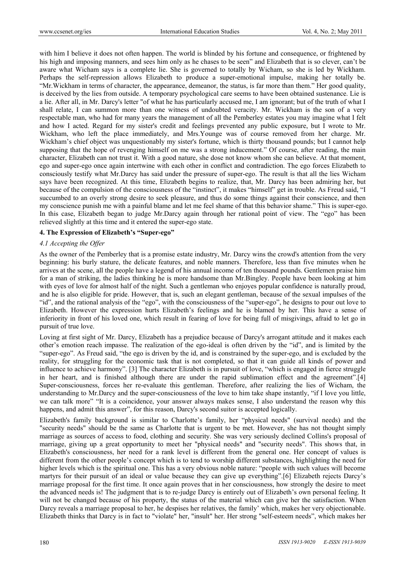with him I believe it does not often happen. The world is blinded by his fortune and consequence, or frightened by his high and imposing manners, and sees him only as he chases to be seen" and Elizabeth that is so clever, can't be aware what Wicham says is a complete lie. She is governed to totally by Wicham, so she is led by Wickham. Perhaps the self-repression allows Elizabeth to produce a super-emotional impulse, making her totally be. "Mr.Wickham in terms of character, the appearance, demeanor, the status, is far more than them." Her good quality, is deceived by the lies from outside. A temporary psychological care seems to have been obtained sustenance. Lie is a lie. After all, in Mr. Darcy's letter "of what he has particularly accused me, I am ignorant; but of the truth of what I shall relate, I can summon more than one witness of undoubted veracity. Mr. Wickham is the son of a very respectable man, who had for many years the management of all the Pemberley estates you may imagine what I felt and how I acted. Regard for my sister's credit and feelings prevented any public exposure, but I wrote to Mr. Wickham, who left the place immediately, and Mrs.Younge was of course removed from her charge. Mr. Wickham's chief object was unquestionably my sister's fortune, which is thirty thousand pounds; but I cannot help supposing that the hope of revenging himself on me was a strong inducement." Of course, after reading, the main character, Elizabeth can not trust it. With a good nature, she dose not know whom she can believe. At that moment, ego and super-ego once again intertwine with each other in conflict and contradiction. The ego forces Elizabeth to consciously testify what Mr.Darcy has said under the pressure of super-ego. The result is that all the lies Wicham says have been recognized. At this time, Elizabeth begins to realize, that, Mr. Darcy has been admiring her, but because of the compulsion of the consciousness of the "instinct", it makes "himself" get in trouble. As Freud said, "I succumbed to an overly strong desire to seek pleasure, and thus do some things against their conscience, and then my conscience punish me with a painful blame and let me feel shame of that this behavior shame." This is super-ego. In this case, Elizabeth began to judge Mr.Darcy again through her rational point of view. The "ego" has been relieved slightly at this time and it entered the super-ego state.

#### **4. The Expression of Elizabeth's "Super-ego"**

## *4.1 Accepting the Offer*

As the owner of the Pemberley that is a promise estate industry, Mr. Darcy wins the crowd's attention from the very beginning: his burly stature, the delicate features, and noble manners. Therefore, less than five minutes when he arrives at the scene, all the people have a legend of his annual income of ten thousand pounds. Gentlemen praise him for a man of striking, the ladies thinking he is more handsome than Mr.Bingley. People have been looking at him with eyes of love for almost half of the night. Such a gentleman who enjoyes popular confidence is naturally proud, and he is also eligible for pride. However, that is, such an elegant gentleman, because of the sexual impulses of the "id", and the rational analysis of the "ego", with the consciousness of the "super-ego", he designs to pour out love to Elizabeth. However the expression hurts Elizabeth's feelings and he is blamed by her. This have a sense of inferiority in front of his loved one, which result in fearing of love for being full of misgivings, afraid to let go in pursuit of true love.

Loving at first sight of Mr. Darcy, Elizabeth has a prejudice because of Darcy's arrogant attitude and it makes each other's emotion reach impasse. The realization of the ego-ideal is often driven by the "id", and is limited by the "super-ego". As Freud said, "the ego is driven by the id, and is constrained by the super-ego, and is excluded by the reality, for struggling for the economic task that is not completed, so that it can guide all kinds of power and influence to achieve harmony". [3] The character Elizabeth is in pursuit of love, "which is engaged in fierce struggle in her heart, and is finished although there are under the rapid sublimation effect and the agreement".[4] Super-consciousness, forces her re-evaluate this gentleman. Therefore, after realizing the lies of Wicham, the understanding to Mr.Darcy and the super-consciousness of the love to him take shape instantly, "if I love you little, we can talk more" "It is a coincidence, your answer always makes sense, I also understand the reason why this happens, and admit this answer", for this reason, Darcy's second suitor is accepted logically.

Elizabeth's family background is similar to Charlotte's family, her "physical needs" (survival needs) and the "security needs" should be the same as Charlotte that is urgent to be met. However, she has not thought simply marriage as sources of access to food, clothing and security. She was very seriously declined Collins's proposal of marriage, giving up a great opportunity to meet her "physical needs" and "security needs". This shows that, in Elizabeth's consciousness, her need for a rank level is different from the general one. Her concept of values is different from the other people's concept which is to tend to worship different substances, highlighting the need for higher levels which is the spiritual one. This has a very obvious noble nature: "people with such values will become martyrs for their pursuit of an ideal or value because they can give up everything".[6] Elizabeth rejects Darcy's marriage proposal for the first time. It once again proves that in her consciousness, how strongly the desire to meet the advanced needs is! The judgment that is to re-judge Darcy is entirely out of Elizabeth's own personal feeling. It will not be changed because of his property, the status of the material which can give her the satisfaction. When Darcy reveals a marriage proposal to her, he despises her relatives, the family' which, makes her very objectionable. Elizabeth thinks that Darcy is in fact to "violate" her, "insult" her. Her strong "self-esteem needs", which makes her